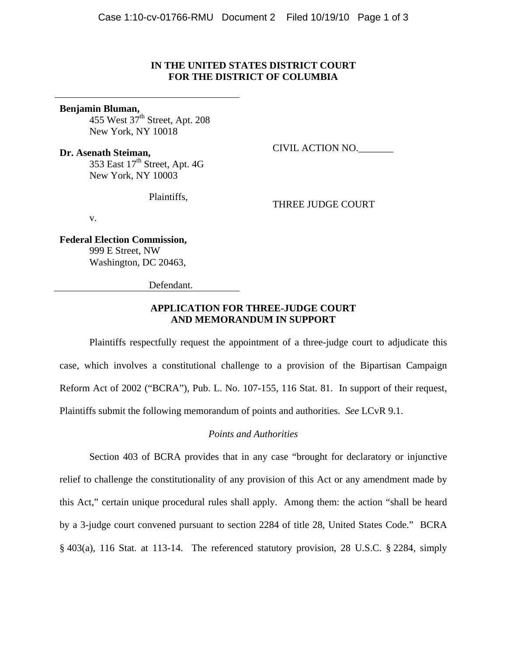### **IN THE UNITED STATES DISTRICT COURT FOR THE DISTRICT OF COLUMBIA**

#### **Benjamin Bluman,**

455 West  $37<sup>th</sup>$  Street, Apt. 208 New York, NY 10018

**Dr. Asenath Steiman,**  353 East  $17<sup>th</sup>$  Street, Apt. 4G New York, NY 10003

Plaintiffs,

THREE JUDGE COURT

CIVIL ACTION NO.\_\_\_\_\_\_\_

v.

**Federal Election Commission,**  999 E Street, NW Washington, DC 20463,

Defendant.

## **APPLICATION FOR THREE-JUDGE COURT AND MEMORANDUM IN SUPPORT**

 Plaintiffs respectfully request the appointment of a three-judge court to adjudicate this case, which involves a constitutional challenge to a provision of the Bipartisan Campaign Reform Act of 2002 ("BCRA"), Pub. L. No. 107-155, 116 Stat. 81. In support of their request, Plaintiffs submit the following memorandum of points and authorities. *See* LCvR 9.1.

## *Points and Authorities*

 Section 403 of BCRA provides that in any case "brought for declaratory or injunctive relief to challenge the constitutionality of any provision of this Act or any amendment made by this Act," certain unique procedural rules shall apply. Among them: the action "shall be heard by a 3-judge court convened pursuant to section 2284 of title 28, United States Code." BCRA § 403(a), 116 Stat. at 113-14. The referenced statutory provision, 28 U.S.C. § 2284, simply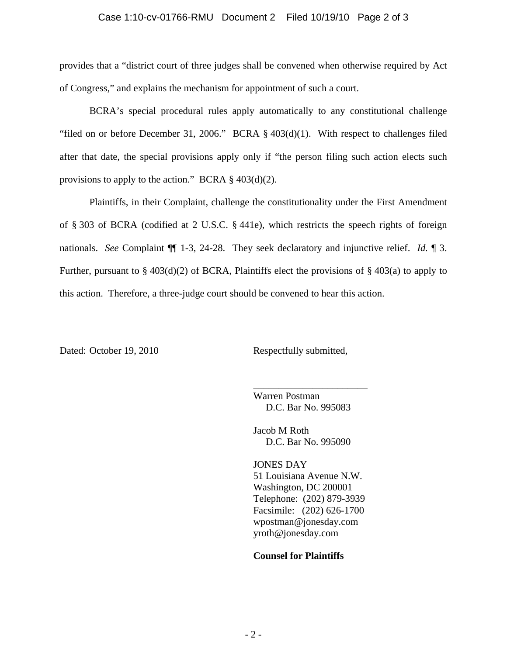#### Case 1:10-cv-01766-RMU Document 2 Filed 10/19/10 Page 2 of 3

provides that a "district court of three judges shall be convened when otherwise required by Act of Congress," and explains the mechanism for appointment of such a court.

 BCRA's special procedural rules apply automatically to any constitutional challenge "filed on or before December 31, 2006." BCRA § 403(d)(1). With respect to challenges filed after that date, the special provisions apply only if "the person filing such action elects such provisions to apply to the action." BCRA  $\S$  403(d)(2).

 Plaintiffs, in their Complaint, challenge the constitutionality under the First Amendment of § 303 of BCRA (codified at 2 U.S.C. § 441e), which restricts the speech rights of foreign nationals. *See* Complaint ¶¶ 1-3, 24-28. They seek declaratory and injunctive relief. *Id.* ¶ 3. Further, pursuant to  $\S 403(d)(2)$  of BCRA, Plaintiffs elect the provisions of  $\S 403(a)$  to apply to this action. Therefore, a three-judge court should be convened to hear this action.

Dated: October 19, 2010 Respectfully submitted,

Warren Postman D.C. Bar No. 995083

\_\_\_\_\_\_\_\_\_\_\_\_\_\_\_\_\_\_\_\_\_\_\_

Jacob M Roth D.C. Bar No. 995090

JONES DAY 51 Louisiana Avenue N.W. Washington, DC 200001 Telephone: (202) 879-3939 Facsimile: (202) 626-1700 wpostman@jonesday.com yroth@jonesday.com

### **Counsel for Plaintiffs**